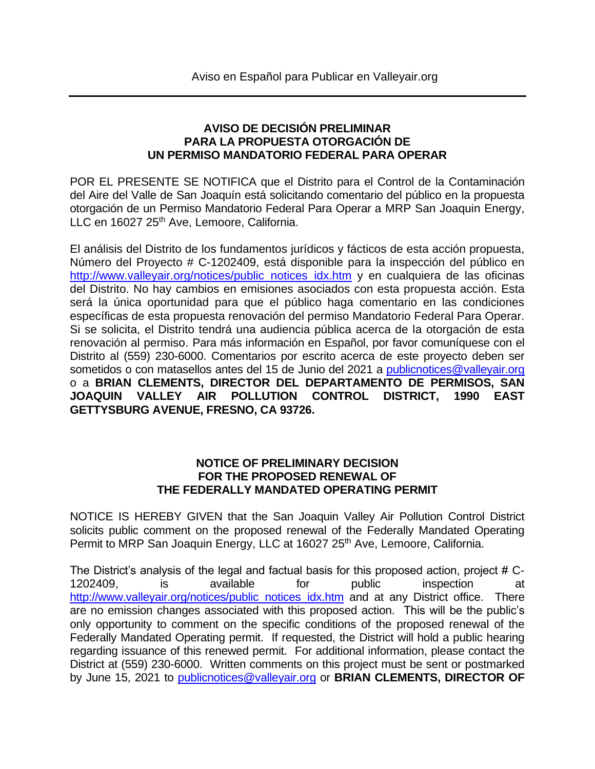## **AVISO DE DECISIÓN PRELIMINAR PARA LA PROPUESTA OTORGACIÓN DE UN PERMISO MANDATORIO FEDERAL PARA OPERAR**

POR EL PRESENTE SE NOTIFICA que el Distrito para el Control de la Contaminación del Aire del Valle de San Joaquín está solicitando comentario del público en la propuesta otorgación de un Permiso Mandatorio Federal Para Operar a MRP San Joaquin Energy, LLC en 16027 25<sup>th</sup> Ave, Lemoore, California.

El análisis del Distrito de los fundamentos jurídicos y fácticos de esta acción propuesta, Número del Proyecto # C-1202409, está disponible para la inspección del público en [http://www.valleyair.org/notices/public\\_notices\\_idx.htm](http://www.valleyair.org/notices/public_notices_idx.htm) y en cualquiera de las oficinas del Distrito. No hay cambios en emisiones asociados con esta propuesta acción. Esta será la única oportunidad para que el público haga comentario en las condiciones específicas de esta propuesta renovación del permiso Mandatorio Federal Para Operar. Si se solicita, el Distrito tendrá una audiencia pública acerca de la otorgación de esta renovación al permiso. Para más información en Español, por favor comuníquese con el Distrito al (559) 230-6000. Comentarios por escrito acerca de este proyecto deben ser sometidos o con matasellos antes del 15 de Junio del 2021 a [publicnotices@valleyair.org](mailto:publicnotices@valleyair.org) o a **BRIAN CLEMENTS, DIRECTOR DEL DEPARTAMENTO DE PERMISOS, SAN JOAQUIN VALLEY AIR POLLUTION CONTROL DISTRICT, 1990 EAST GETTYSBURG AVENUE, FRESNO, CA 93726.**

## **NOTICE OF PRELIMINARY DECISION FOR THE PROPOSED RENEWAL OF THE FEDERALLY MANDATED OPERATING PERMIT**

NOTICE IS HEREBY GIVEN that the San Joaquin Valley Air Pollution Control District solicits public comment on the proposed renewal of the Federally Mandated Operating Permit to MRP San Joaquin Energy, LLC at 16027 25<sup>th</sup> Ave, Lemoore, California.

The District's analysis of the legal and factual basis for this proposed action, project # C-1202409, is available for public inspection at [http://www.valleyair.org/notices/public\\_notices\\_idx.htm](http://www.valleyair.org/notices/public_notices_idx.htm) and at any District office. There are no emission changes associated with this proposed action. This will be the public's only opportunity to comment on the specific conditions of the proposed renewal of the Federally Mandated Operating permit. If requested, the District will hold a public hearing regarding issuance of this renewed permit. For additional information, please contact the District at (559) 230-6000. Written comments on this project must be sent or postmarked by June 15, 2021 to [publicnotices@valleyair.org](mailto:publicnotices@valleyair.org) or **BRIAN CLEMENTS, DIRECTOR OF**